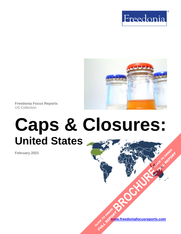



**Freedonia Focus Reports** US Collection

# **Caps & Closures: United States**

**February 2021**

**[www.freedoniafocusreports.com](https://www.freedoniafocusreports.com/redirect.asp?progid=89534&url=/)** CLICK TO ORDER **FULL REPORT** 

**[BROCHURE](https://www.freedoniafocusreports.com/Caps-Closures-United-States-FF30012/?progid=89541) CLICK TO ORDER** 

**FULL REPORT**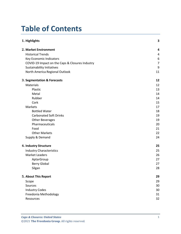# **Table of Contents**

| 1. Highlights                                   | 3              |
|-------------------------------------------------|----------------|
| 2. Market Environment                           | 4              |
| <b>Historical Trends</b>                        | 4              |
| Key Economic Indicators                         | 6              |
| COVID-19 Impact on the Caps & Closures Industry | $\overline{7}$ |
| <b>Sustainability Initiatives</b>               | 9              |
| North America Regional Outlook                  | 11             |
| 3. Segmentation & Forecasts                     | 12             |
| <b>Materials</b>                                | 12             |
| Plastic                                         | 13             |
| Metal                                           | 14             |
| Rubber                                          | 14             |
| Cork                                            | 15             |
| Markets                                         | 17             |
| <b>Bottled Water</b>                            | 18             |
| <b>Carbonated Soft Drinks</b>                   | 19             |
| <b>Other Beverages</b>                          | 19             |
| Pharmaceuticals                                 | 20             |
| Food                                            | 21             |
| <b>Other Markets</b>                            | 22             |
| Supply & Demand                                 | 24             |
| 4. Industry Structure                           | 25             |
| <b>Industry Characteristics</b>                 | 25             |
| <b>Market Leaders</b>                           | 26             |
| AptarGroup                                      | 27             |
| <b>Berry Global</b>                             | 27             |
| Silgan                                          | 28             |
| 5. About This Report                            | 29             |
| Scope                                           | 29             |
| Sources                                         | 30             |
| <b>Industry Codes</b>                           | 30             |
| Freedonia Methodology                           | 31             |
| Resources                                       | 32             |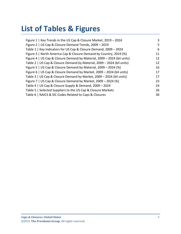# **List of Tables & Figures**

| Figure 1   Key Trends in the US Cap & Closure Market, 2019 - 2024       | 3  |
|-------------------------------------------------------------------------|----|
| Figure 2   US Cap & Closure Demand Trends, 2009 - 2019                  | 5  |
| Table 1   Key Indicators for US Cap & Closure Demand, 2009 - 2024       | 6  |
| Figure 3   North America Cap & Closure Demand by Country, 2019 (%)      | 11 |
| Figure 4   US Cap & Closure Demand by Material, 2009 - 2024 (bil units) | 12 |
| Table 2   US Cap & Closure Demand by Material, 2009 - 2024 (bil units)  | 12 |
| Figure 5   US Cap & Closure Demand by Material, 2009 - 2024 (%)         | 16 |
| Figure 6   US Cap & Closure Demand by Market, 2009 - 2024 (bil units)   | 17 |
| Table 3   US Cap & Closure Demand by Market, 2009 - 2024 (bil units)    | 17 |
| Figure 7   US Cap & Closure Demand by Market, 2009 - 2024 (%)           | 23 |
| Table 4   US Cap & Closure Supply & Demand, 2009 - 2024                 | 24 |
| Table 5   Selected Suppliers to the US Cap & Closure Markets            | 26 |
| Table 6   NAICS & SIC Codes Related to Caps & Closures                  | 30 |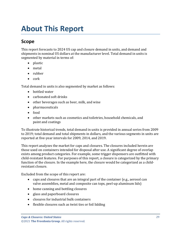# <span id="page-3-0"></span>**About This Report**

# <span id="page-3-1"></span>**Scope**

This report forecasts to 2024 US cap and closure demand in units, and demand and shipments in nominal US dollars at the manufacturer level. Total demand in units is segmented by material in terms of:

- plastic
- metal
- rubber
- cork

Total demand in units is also segmented by market as follows:

- bottled water
- carbonated soft drinks
- other beverages such as beer, milk, and wine
- pharmaceuticals
- food
- other markets such as cosmetics and toiletries, household chemicals, and paint and coatings

To illustrate historical trends, total demand in units is provided in annual series from 2009 to 2019; total demand and total shipments in dollars, and the various segments in units are reported at five-year intervals for 2009, 2014, and 2019.

This report analyzes the market for caps and closures. The closures included herein are those used on containers intended for disposal after use. A significant degree of overlap exists among product categories. For example, some trigger dispensers are outfitted with child-resistant features. For purposes of this report, a closure is categorized by the primary function of the closure. In the example here, the closure would be categorized as a childresistant closure.

Excluded from the scope of this report are:

- caps and closures that are an integral part of the container (e.g., aerosol can valve assemblies, metal and composite can tops, peel-up aluminum lids)
- home canning and bottling closures
- glass and paperboard closures
- closures for industrial bulk containers
- flexible closures such as twist ties or foil lidding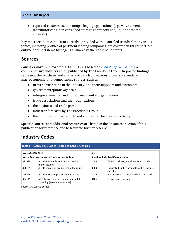#### **About This Report**

• caps and closures used in nonpackaging applications (e.g., valve covers, distributor caps, pen caps, food storage containers lids, liquor decanter closures)

Key macroeconomic indicators are also provided with quantified trends. Other various topics, including profiles of pertinent leading companies, are covered in this report. A full outline of report items by page is available in the Table of Contents.

### <span id="page-4-0"></span>**Sources**

*Caps & Closures: United States* (FF30012) is based on *[Global Caps & Closures,](http://www.freedoniagroup.com/DocumentDetails.aspx?ReferrerId=FL-FOCUS&studyid=4045)* a comprehensive industry study published by The Freedonia Group. Reported findings represent the synthesis and analysis of data from various primary, secondary, macroeconomic, and demographic sources, such as:

- firms participating in the industry, and their suppliers and customers
- government/public agencies
- intergovernmental and non-governmental organizations
- trade associations and their publications
- the business and trade press
- indicator forecasts by The Freedonia Group
- the findings of other reports and studies by The Freedonia Group

Specific sources and additional resources are listed in the Resources section of this publication for reference and to facilitate further research.

# <span id="page-4-1"></span>**Industry Codes**

<span id="page-4-2"></span>

| <b>NAICS/SCIAN 2017</b><br><b>SIC</b><br>North American Industry Classification System |                                                                       |                                           |                                                         |
|----------------------------------------------------------------------------------------|-----------------------------------------------------------------------|-------------------------------------------|---------------------------------------------------------|
|                                                                                        |                                                                       | <b>Standard Industrial Classification</b> |                                                         |
| 321999                                                                                 | All other miscellaneous wood product<br>manufacturing                 | 2499                                      | Wood products, not elsewhere classified                 |
| 326199                                                                                 | All other plastics product manufacturing                              | 3069                                      | Fabricated rubber products, not elsewhere<br>classified |
| 326299                                                                                 | All other rubber product manufacturing                                | 3089                                      | Plastic products, not elsewhere classified              |
| 332119                                                                                 | Metal crown, closure, and other metal<br>stamping (except automotive) | 3466                                      | Crowns and closures                                     |

Source: US Census Bureau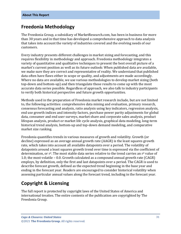### <span id="page-5-0"></span>**Freedonia Methodology**

The Freedonia Group, a subsidiary of MarketResearch.com, has been in business for more than 30 years and in that time has developed a comprehensive approach to data analysis that takes into account the variety of industries covered and the evolving needs of our customers.

Every industry presents different challenges in market sizing and forecasting, and this requires flexibility in methodology and approach. Freedonia methodology integrates a variety of quantitative and qualitative techniques to present the best overall picture of a market's current position as well as its future outlook: When published data are available, we make sure they are correct and representative of reality. We understand that published data often have flaws either in scope or quality, and adjustments are made accordingly. Where no data are available, we use various methodologies to develop market sizing (both top-down and bottom-up) and then triangulate those results to come up with the most accurate data series possible. Regardless of approach, we also talk to industry participants to verify both historical perspective and future growth opportunities.

Methods used in the preparation of Freedonia market research include, but are not limited to, the following activities: comprehensive data mining and evaluation, primary research, consensus forecasting and analysis, ratio analysis using key indicators, regression analysis, end use growth indices and intensity factors, purchase power parity adjustments for global data, consumer and end user surveys, market share and corporate sales analysis, product lifespan analysis, product or market life cycle analysis, graphical data modeling, long-term historical trend analysis, bottom-up and top-down demand modeling, and comparative market size ranking.

Freedonia quantifies trends in various measures of growth and volatility. Growth (or decline) expressed as an average annual growth rate (AAGR) is the least squares growth rate, which takes into account all available datapoints over a period. The volatility of datapoints around a least squares growth trend over time is expressed via the coefficient of determination, or  $r^2$ . The most stable data series relative to the trend carries an  $r^2$  value of 1.0; the most volatile – 0.0. Growth calculated as a compound annual growth rate (CAGR) employs, by definition, only the first and last datapoints over a period. The CAGR is used to describe forecast growth, defined as the expected trend beginning in the base year and ending in the forecast year. Readers are encouraged to consider historical volatility when assessing particular annual values along the forecast trend, including in the forecast year.

## **Copyright & Licensing**

The full report is protected by copyright laws of the United States of America and international treaties. The entire contents of the publication are copyrighted by The Freedonia Group.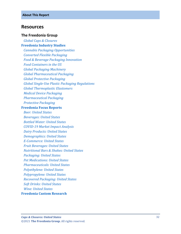### <span id="page-6-0"></span>**Resources**

#### **The Freedonia Group**

 *[Global Caps & Closures](http://www.freedoniagroup.com/DocumentDetails.aspx?ReferrerId=FL-FOCUS&studyid=4045)* **[Freedonia Industry Studies](http://www.freedoniagroup.com/Home.aspx?ReferrerId=FL-Focus)**  *[Cannabis Packaging Opportunities](https://www.freedoniagroup.com/DocumentDetails.aspx?ReferrerId=FL-FOCUS&StudyId=3773) [Converted Flexible Packaging](https://www.freedoniagroup.com/DocumentDetails.aspx?ReferrerId=FL-FOCUS&StudyId=3731) [Food & Beverage Packaging Innovation](https://www.freedoniagroup.com/DocumentDetails.aspx?ReferrerId=FL-FOCUS&StudyId=3736) [Food Containers in the US](https://www.freedoniagroup.com/DocumentDetails.aspx?ReferrerId=FL-FOCUS&StudyId=3609) [Global Packaging Machinery](https://www.freedoniagroup.com/DocumentDetails.aspx?ReferrerId=FL-FOCUS&StudyId=3788) [Global Pharmaceutical Packaging](https://www.freedoniagroup.com/DocumentDetails.aspx?ReferrerId=FL-FOCUS&StudyId=3758) [Global Protective Packaging](https://www.freedoniagroup.com/DocumentDetails.aspx?ReferrerId=FL-FOCUS&StudyId=3741) Global Single [-Use Plastic Packaging Regulations](https://www.freedoniagroup.com/DocumentDetails.aspx?ReferrerId=FL-FOCUS&StudyId=3812) [Global Thermoplastic Elastomers](https://www.freedoniagroup.com/DocumentDetails.aspx?ReferrerId=FL-FOCUS&StudyId=3825) [Medical Device Packaging](https://www.freedoniagroup.com/DocumentDetails.aspx?ReferrerId=FL-FOCUS&StudyId=3782) [Pharmaceutical Packaging](https://www.freedoniagroup.com/DocumentDetails.aspx?ReferrerId=FL-FOCUS&StudyId=3816) [Protective Packaging](https://www.freedoniagroup.com/DocumentDetails.aspx?ReferrerId=FL-FOCUS&StudyId=3797)* **[Freedonia Focus Reports](https://www.freedoniafocusreports.com/redirect.asp?progid=89534&url=/)**  *[Beer: United States](https://www.freedoniafocusreports.com/Beer-United-States-FF10010/?progid=89534) [Beverages: United States](https://www.freedoniafocusreports.com/Beverages-United-States-FF10023/?progid=89534) [Bottled Water: United States](https://www.freedoniafocusreports.com/Bottled-Water-United-States-FF10011/?progid=89534) COVID [-19 Market Impact Analysis](https://www.freedoniafocusreports.com/COVID-19-Market-Impact-Analysis-FW95079/?progid=89534) [Dairy Products: United States](https://www.freedoniafocusreports.com/Dairy-Products-United-States-FF10013/?progid=89534) [Demographics: United States](https://www.freedoniafocusreports.com/Demographics-United-States-FF95050/?progid=89534) E [-Commerce: United States](https://www.freedoniafocusreports.com/E-Commerce-United-States-FF90043/?progid=89534) [Fruit Beverages: United States](https://www.freedoniafocusreports.com/Fruit-Beverages-United-States-FF10059/?progid=89534) [Nutritional Bars & Shakes: United States](https://www.freedoniafocusreports.com/Nutritional-Bars-Shakes-United-States-FF10053/?progid=89534) [Packaging: United States](https://www.freedoniafocusreports.com/Packaging-United-States-FF30035/?progid=89534) [Pet Medications: United States](https://www.freedoniafocusreports.com/Pet-Medications-United-States-FF40060/?progid=89534) [Pharmaceuticals: United States](https://www.freedoniafocusreports.com/Pharmaceuticals-United-States-FF40040/?progid=89534) [Polyethylene: United States](https://www.freedoniafocusreports.com/Polyethylene-United-States-FF55017/?progid=89534) [Polypropylene: United States](https://www.freedoniafocusreports.com/Polypropylene-United-States-FF55018/?progid=89534) [Recovered Packaging: United States](https://www.freedoniafocusreports.com/Recovered-Packaging-United-States-FF30051/?progid=89534) [Soft Drinks: United States](https://www.freedoniafocusreports.com/Soft-Drinks-United-States-FF10018/?progid=89534) [Wine: United States](https://www.freedoniafocusreports.com/Wine-United-States-FF10020/?progid=89534)*

**[Freedonia Custom Research](http://www.freedoniagroup.com/CustomResearch.aspx?ReferrerId=FL-Focus)**